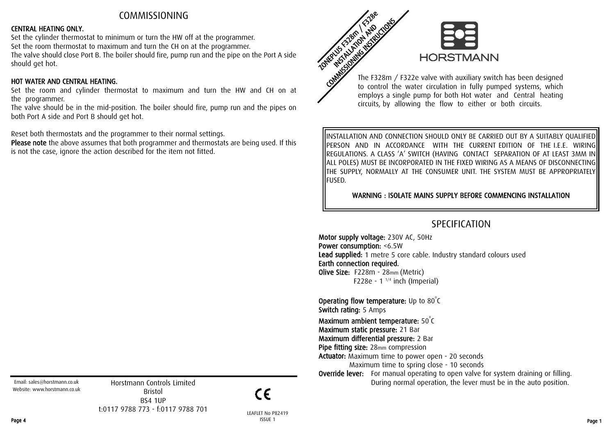## COMMISSIONING

#### CENTRAL HEATING ONLY.

Set the cylinder thermostat to minimum or turn the HW off at the programmer. Set the room thermostat to maximum and turn the CH on at the programmer. The valve should close Port B. The boiler should fire, pump run and the pipe on the Port A side should get hot.

#### HOT WATER AND CENTRAL HEATING.

Set the room and cylinder thermostat to maximum and turn the HW and CH on at the programmer.

The valve should be in the mid-position. The boiler should fire, pump run and the pipes on both Port A side and Port B should get hot.

Reset both thermostats and the programmer to their normal settings.

Please note the above assumes that both programmer and thermostats are being used. If this is not the case, ignore the action described for the item not fitted.



The F328m / F322e valve with auxiliary switch has been designed to control the water circulation in fully pumped systems, which employs a single pump for both Hot water and Central heating circuits, by allowing the flow to either or both circuits.

INSTALLATION AND CONNECTION SHOULD ONLY BE CARRIED OUT BY A SUITABLY QUALIFIED PERSON AND IN ACCORDANCE WITH THE CURRENT EDITION OF THE I.E.E. WIRING REGULATIONS. A CLASS 'A' SWITCH (HAVING CONTACT SEPARATION OF AT LEAST 3MM IN ALL POLES) MUST BE INCORPORATED IN THE FIXED WIRING AS A MEANS OF DISCONNECTING THE SUPPLY, NORMALLY AT THE CONSUMER UNIT. THE SYSTEM MUST BE APPROPRIATELY FUSED.

WARNING : ISOLATE MAINS SUPPLY BEFORE COMMENCING INSTALLATION

# SPECIFICATION

Motor supply voltage: 230V AC, 50Hz Power consumption: <6.5W Lead supplied: 1 metre 5 core cable. Industry standard colours used Earth connection required. Olive Size: F228m - 28mm (Metric) F228e - 1 $1/4$  inch (Imperial)

**Operating flow temperature:** Up to  $80^{\circ}$ C Switch rating: 5 Amps Maximum ambient temperature:  $50^{\circ}$ C Maximum static pressure: 21 Bar

Maximum differential pressure: 2 Bar

Pipe fitting size: 28mm compression

Actuator: Maximum time to power open - 20 seconds Maximum time to spring close - 10 seconds

**Override lever:** For manual operating to open valve for system draining or filling. During normal operation, the lever must be in the auto position.

Email: sales@horstmann.co.uk Website: www.horstmann.co.uk

Horstmann Controls Limited Bristol BS4 1UP t:0117 9788 773 - f:0117 9788 701

CΕ

LEAFLET No P82419